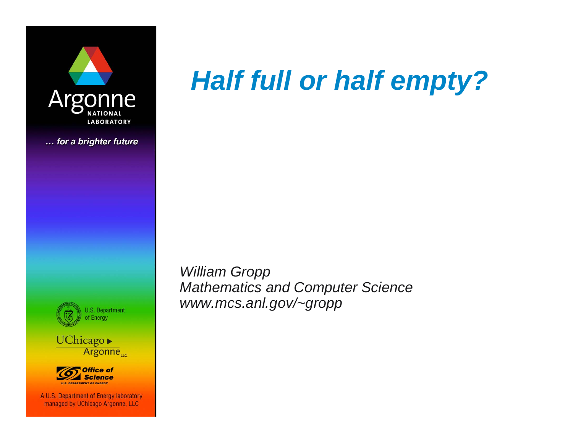

... for a brighter future



Argonne<sub>uc</sub>



A U.S. Department of Energy laboratory managed by UChicago Argonne, LLC

# *Half full or half empty?*

*William Gropp Mathematics and Computer Science www.mcs.anl.gov/~gropp*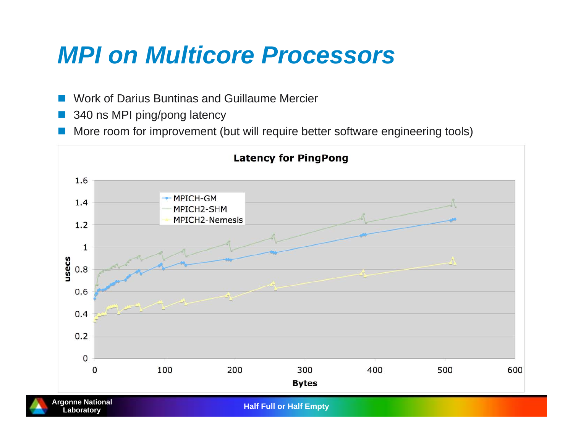#### *MPI on Multicore Processors*

- Work of Darius Buntinas and Guillaume Mercier
- × 340 ns MPI ping/pong latency
- More room for improvement (but will require better software engineering tools)

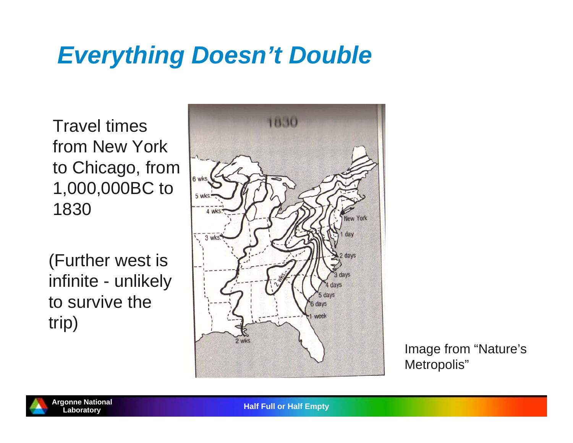### *Everything Doesn't Double*

Travel times from New York to Chicago, from 1,000,000BC to 1830

(Further west is infinite - unlikely to survive the trip)



Image from "Nature's Metropolis"



**Half Full or Half Empty**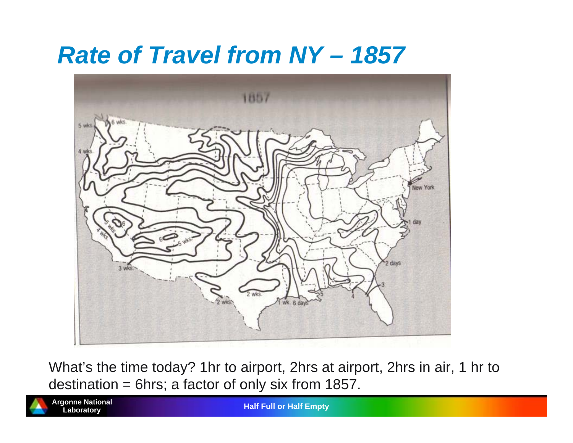#### *Rate of Travel from NY – 1857*



What's the time today? 1hr to airport, 2hrs at airport, 2hrs in air, 1 hr to destination = 6hrs; a factor of only six from 1857.



**Argonne National**

**Half Full or Half Empty**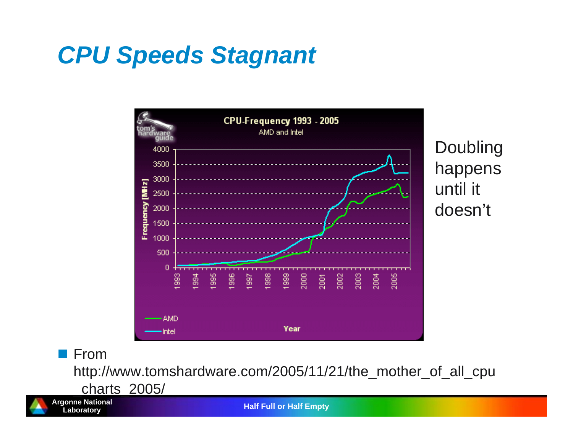## *CPU Speeds Stagnant*



**From** 

http://www.tomshardware.com/2005/11/21/the\_mother\_of\_all\_cpu

\_charts\_2005/



**Argonne National**

**Half Full or Half Empty**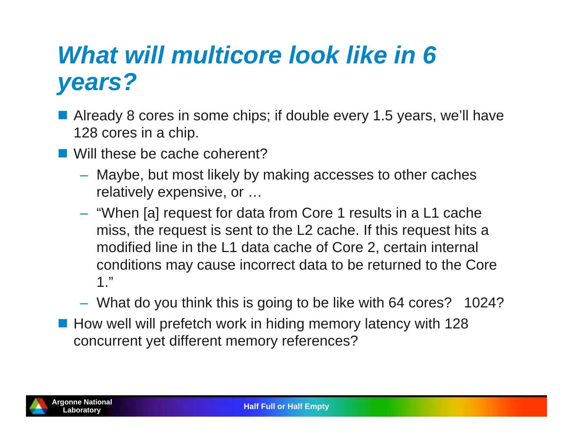### *What will multicore look like in 6 years?*

- **Already 8 cores in some chips; if double every 1.5 years, we'll have** 128 cores in a chip.
- Will these be cache coherent?
	- Maybe, but most likely by making accesses to other caches relatively expensive, or …
	- "When [a] request for data from Core 1 results in a L1 cache miss, the request is sent to the L2 cache. If this request hits a modified line in the L1 data cache of Core 2, certain internal conditions may cause incorrect data to be returned to the Core 1."
	- What do you think this is going to be like with 64 cores? 1024?
- **How well will prefetch work in hiding memory latency with 128** concurrent yet different memory references?

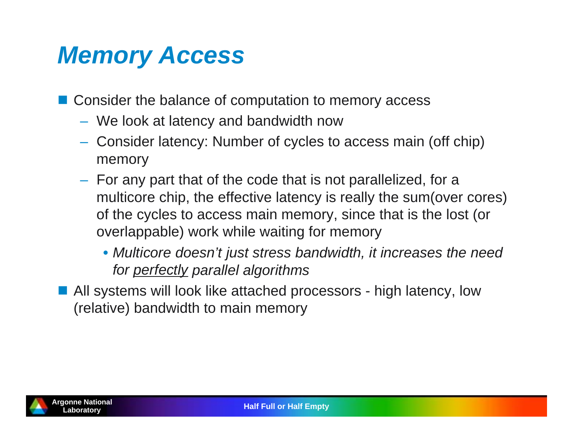## *Memory Access*

■ Consider the balance of computation to memory access

- We look at latency and bandwidth now
- Consider latency: Number of cycles to access main (off chip) memory
- $-$  For any part that of the code that is not parallelized, for a multicore chip, the effective latency is really the sum(over cores) of the cycles to access main memory, since that is the lost (or overlappable) work while waiting for memory
	- *Multicore doesn't just stress bandwidth, it increases the need for perfectly parallel algorithms*

■ All systems will look like attached processors - high latency, low (relative) bandwidth to main memory

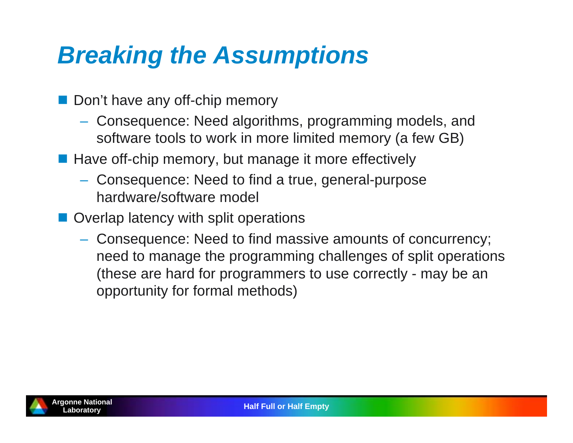### *Breaking the Assumptions*

- Don't have any off-chip memory
	- Consequence: Need algorithms, programming models, and software tools to work in more limited memory (a few GB)
- **Have off-chip memory, but manage it more effectively** 
	- Consequence: Need to find a true, general-purpose hardware/software model
- **Overlap latency with split operations** 
	- Consequence: Need to find massive amounts of concurrency; need to manage the programming challenges of split operations (these are hard for programmers to use correctly - may be an opportunity for formal methods)

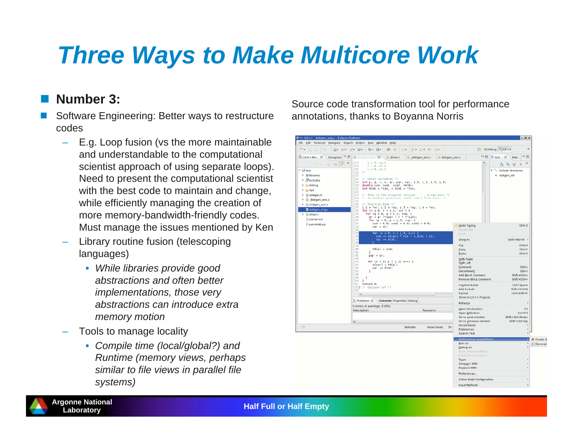## *Three Ways to Make Multicore Work*

#### $\mathbb{R}^2$ **Number 3:**

- Ξ Software Engineering: Better ways to restructure codes
	- – E.g. Loop fusion (vs the more maintainable and understandable to the computational scientist approach of using separate loops). Need to present the computational scientist with the best code to maintain and change, while efficiently managing the creation of more memory-bandwidth-friendly codes. Must manage the issues mentioned by Ken
	- – Library routine fusion (telescoping languages)
		- *While libraries provide good abstractions and often better implementations, those very abstractions can introduce extra memory motion*
	- – Tools to manage locality
		- *Compile time (local/global?) and Runtime (memory views, perhaps similar to file views in parallel file systems)*

Source code transformation tool for performance annotations, thanks to Boyanna Norris

| Eile Edit Refactor Navigate Search Project Bun Window Help                                                                                                                                                                                                                                                                                                                                                                                                                                                                                                                                                                                                                                                                                             |                                                                                                                                                           |                                                                                                                                                       | 35                                                                                |
|--------------------------------------------------------------------------------------------------------------------------------------------------------------------------------------------------------------------------------------------------------------------------------------------------------------------------------------------------------------------------------------------------------------------------------------------------------------------------------------------------------------------------------------------------------------------------------------------------------------------------------------------------------------------------------------------------------------------------------------------------------|-----------------------------------------------------------------------------------------------------------------------------------------------------------|-------------------------------------------------------------------------------------------------------------------------------------------------------|-----------------------------------------------------------------------------------|
| <b>B- 0-</b><br>$\mathbb{R}^2$ $\mathbb{S}^2$ $\mathbb{C}^2$ $\mathbb{C}^2$<br>$\mathbf{B}$ . $\mathbf{B}$<br>$(0)$ $-$                                                                                                                                                                                                                                                                                                                                                                                                                                                                                                                                                                                                                                | $6 - 9 - 6 - 6 - 6$<br>$\Rightarrow$                                                                                                                      |                                                                                                                                                       | ff \$Debug dC/C++                                                                 |
| Navigator <sup>o</sup><br>EC C/C++ Pro 23<br>did doitgen orig.c 23 \ c driver.c<br>$q = 0nq-1$<br>13<br>$\overline{\nabla}$<br>$\Box$<br>000                                                                                                                                                                                                                                                                                                                                                                                                                                                                                                                                                                                                           | doitgen ann.c                                                                                                                                             | - 0<br>doitgen ann.c<br>$\blacksquare$                                                                                                                | $-0$<br><b>BE Out</b> 38<br>Mak<br>$\overline{\phantom{a}}$<br>$\bullet$<br>ほ め だ |
| $r = 0.$ .nr-1<br>14<br>15<br>$s = 0ns-1$<br>▽ Liest<br>$*$<br>16<br><b>▶ ◆ Binaries</b><br>17<br>18<br>/* Local variables */<br><b>D</b> Includes<br>19<br><b>P <i>C</i></b> Debug<br>double sum, sum1, sum2, t0[N];<br>20<br>int diml = *ial, $x$ diml = *ldx;<br>21<br>$P \geq 0$ pt<br>22<br><b>P</b> In doitgen.h<br>23<br>24<br>P c doitgen ann.c<br>25<br>$\triangleright$ $\blacksquare$ doitgen_ann.c<br>26<br>/* Function Body */<br>27<br>$i_1 = \text{Tr}$ ; $i_2 = \text{Tr}$ g; $i_3 = \text{Tr}$ g; $i_4 = \text{Tr}$ s;<br><b>b</b> doitgen_orig.c<br>for $(r = 0; r < i 1; ++r )$ {<br>28<br>29<br>for $(q = 0; q < i \ 2; +q)$ {<br>$\triangleright$ $\cdot$ driver.c<br>30<br>$qr = q^*$ (*ia2) + $r^*$ (*ia3);<br>parser.out<br>31 | int p, q, r, s, qr, pqr, sqr, i_1, i_2, i_3, i_4;<br>/* This is the original version a new port $*/$<br>/* to another processor could start from this. */ |                                                                                                                                                       | $P$ $\equiv$ include directives<br>· doitgen_ref                                  |
| for $(p = 0; p < i_3;$ ++p) {<br>32<br>parsetab.py<br>33<br>$sqr = qr;$<br>34<br>35<br>for $(s = 0; s < i_4; s++)$ (<br>36                                                                                                                                                                                                                                                                                                                                                                                                                                                                                                                                                                                                                             | $sum = 0.0$ ; $sum1 = 0.0$ ; $sum2 = 0.0$ ;<br>sum += $a[sqr]$ * $x[p + x dim] + s$ ];                                                                    | Undo Typing<br>Revert File<br>Save                                                                                                                    | $Ctrl+Z$                                                                          |
| 37<br>$sqrt + 4i$ ml;<br>38<br>39<br>40<br>$t0[p] = sum;$<br>41<br>3<br>42                                                                                                                                                                                                                                                                                                                                                                                                                                                                                                                                                                                                                                                                             |                                                                                                                                                           | Show In<br>Cut<br>Copy<br>Paste                                                                                                                       | Shift+Alt+W +<br>$Ctrl + X$<br>$Ctrl + C$<br>$Ctrl + V$                           |
| $pqr = qr;$<br>43<br>44<br>for (p = 0; p < i_3; p++) {<br>45<br>$a[pqr] = t0[p];$<br>46<br>$pqr == dim1;$<br>47<br>$\lambda$<br>48<br>49<br>$\mathcal{F}$<br>50<br>$\rightarrow$                                                                                                                                                                                                                                                                                                                                                                                                                                                                                                                                                                       |                                                                                                                                                           | Shift Right<br>Shift Left<br>Comment<br>Uncomment<br>Add Block Comment<br>Remove Block Comment                                                        | $Ctrl + I$<br>$Ctrl + 1$<br>$Shift+Ctrl+/$<br>$Shift +Ctrl + \$                   |
| 51<br>return 0;<br>52} /* doitgen ref */<br>53<br>$\vert$                                                                                                                                                                                                                                                                                                                                                                                                                                                                                                                                                                                                                                                                                              |                                                                                                                                                           | <b>Content Assist</b><br>Add Include<br>Format<br>Show in C/C++ Projects                                                                              | Ctrl+Space<br>$Shift+Ctrl+N$<br>Ctrl+Shift+F                                      |
| t Problems 23<br>Console Properties Debug<br>0 errors, 0 warnings, 0 infos.                                                                                                                                                                                                                                                                                                                                                                                                                                                                                                                                                                                                                                                                            |                                                                                                                                                           | Refactor                                                                                                                                              |                                                                                   |
| Description<br>€.<br>D <sup>*</sup>                                                                                                                                                                                                                                                                                                                                                                                                                                                                                                                                                                                                                                                                                                                    | Resource<br>Writable<br>Smart Insert 39                                                                                                                   | Open Declaration<br>Open Definition<br>Go to next member<br>Go to previous member<br>Declarations<br>References<br>Search Text                        | F3<br>$Ctrl + F3$<br>Shift+Ctrl+Down<br>Shift+Ctrl+Up                             |
|                                                                                                                                                                                                                                                                                                                                                                                                                                                                                                                                                                                                                                                                                                                                                        |                                                                                                                                                           | <b>Performance Annotations</b><br><b>Bun As</b><br>Debug As<br>Clean Selected File(s)<br>Build Smected Feels)<br>Team<br>Compare With<br>Replace With | A Create A<br>C Generate                                                          |
|                                                                                                                                                                                                                                                                                                                                                                                                                                                                                                                                                                                                                                                                                                                                                        |                                                                                                                                                           | Preferences                                                                                                                                           |                                                                                   |
|                                                                                                                                                                                                                                                                                                                                                                                                                                                                                                                                                                                                                                                                                                                                                        |                                                                                                                                                           | Active Build Configuration                                                                                                                            |                                                                                   |
|                                                                                                                                                                                                                                                                                                                                                                                                                                                                                                                                                                                                                                                                                                                                                        |                                                                                                                                                           | Input Methods                                                                                                                                         |                                                                                   |

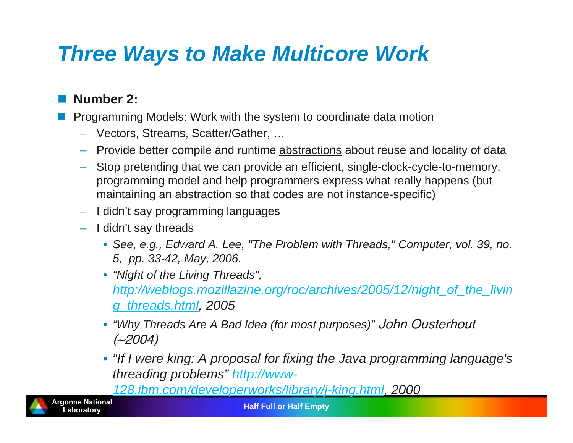#### *Three Ways to Make Multicore Work*

#### $\overline{\mathbb{R}^2}$ **Number 2:**

Programming Models: Work with the system to coordinate data motion

- Vectors, Streams, Scatter/Gather, …
- Provide better compile and runtime <u>abstractions</u> about reuse and locality of data
- Stop pretending that we can provide an efficient, single-clock-cycle-to-memory, programming model and help programmers express what really happens (but maintaining an abstraction so that codes are not instance-specific)
- I didn't say programming languages
- I didn't say threads
	- *See, e.g., Edward A. Lee, "The Problem with Threads," Computer, vol. 39, no. 5, pp. 33-42, May, 2006.*
	- *"Night of the Living Threads", http://weblogs.mozillazine.org/roc/archives/2005/12/night\_of\_the\_livin g\_threads.html, 2005*
	- *"Why Threads Are A Bad Idea (for most purposes)"* John Ousterhout  $(\sim 2004)$
	- *"If I were king: A proposal for fixing the Java programming language's threading problems" http://www-*

*128.ibm.com/developerworks/library/j-king.html, 2000*